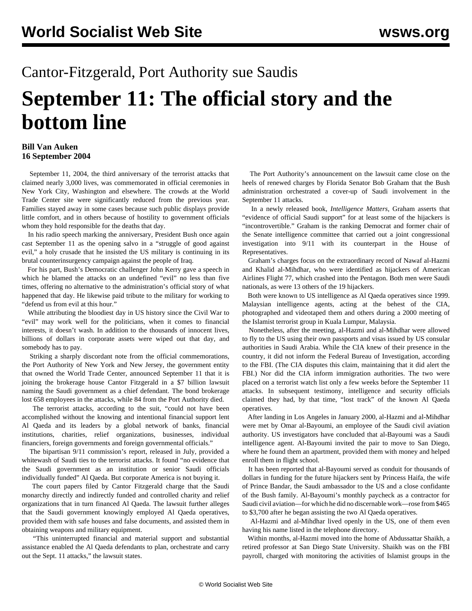## Cantor-Fitzgerald, Port Authority sue Saudis **September 11: The official story and the bottom line**

## **Bill Van Auken 16 September 2004**

 September 11, 2004, the third anniversary of the terrorist attacks that claimed nearly 3,000 lives, was commemorated in official ceremonies in New York City, Washington and elsewhere. The crowds at the World Trade Center site were significantly reduced from the previous year. Families stayed away in some cases because such public displays provide little comfort, and in others because of hostility to government officials whom they hold responsible for the deaths that day.

 In his radio speech marking the anniversary, President Bush once again cast September 11 as the opening salvo in a "struggle of good against evil," a holy crusade that he insisted the US military is continuing in its brutal counterinsurgency campaign against the people of Iraq.

 For his part, Bush's Democratic challenger John Kerry gave a speech in which he blamed the attacks on an undefined "evil" no less than five times, offering no alternative to the administration's official story of what happened that day. He likewise paid tribute to the military for working to "defend us from evil at this hour."

 While attributing the bloodiest day in US history since the Civil War to "evil" may work well for the politicians, when it comes to financial interests, it doesn't wash. In addition to the thousands of innocent lives, billions of dollars in corporate assets were wiped out that day, and somebody has to pay.

 Striking a sharply discordant note from the official commemorations, the Port Authority of New York and New Jersey, the government entity that owned the World Trade Center, announced September 11 that it is joining the brokerage house Cantor Fitzgerald in a \$7 billion lawsuit naming the Saudi government as a chief defendant. The bond brokerage lost 658 employees in the attacks, while 84 from the Port Authority died.

 The terrorist attacks, according to the suit, "could not have been accomplished without the knowing and intentional financial support lent Al Qaeda and its leaders by a global network of banks, financial institutions, charities, relief organizations, businesses, individual financiers, foreign governments and foreign governmental officials."

 The bipartisan 9/11 commission's report, released in July, provided a whitewash of Saudi ties to the terrorist attacks. It found "no evidence that the Saudi government as an institution or senior Saudi officials individually funded" Al Qaeda. But corporate America is not buying it.

 The court papers filed by Cantor Fitzgerald charge that the Saudi monarchy directly and indirectly funded and controlled charity and relief organizations that in turn financed Al Qaeda. The lawsuit further alleges that the Saudi government knowingly employed Al Qaeda operatives, provided them with safe houses and false documents, and assisted them in obtaining weapons and military equipment.

 "This uninterrupted financial and material support and substantial assistance enabled the Al Qaeda defendants to plan, orchestrate and carry out the Sept. 11 attacks," the lawsuit states.

 The Port Authority's announcement on the lawsuit came close on the heels of renewed charges by Florida Senator Bob Graham that the Bush administration orchestrated a cover-up of Saudi involvement in the September 11 attacks.

 In a newly released book, *Intelligence Matters*, Graham asserts that "evidence of official Saudi support" for at least some of the hijackers is "incontrovertible." Graham is the ranking Democrat and former chair of the Senate intelligence committee that carried out a joint congressional investigation into 9/11 with its counterpart in the House of Representatives.

 Graham's charges focus on the extraordinary record of Nawaf al-Hazmi and Khalid al-Mihdhar, who were identified as hijackers of American Airlines Flight 77, which crashed into the Pentagon. Both men were Saudi nationals, as were 13 others of the 19 hijackers.

 Both were known to US intelligence as Al Qaeda operatives since 1999. Malaysian intelligence agents, acting at the behest of the CIA, photographed and videotaped them and others during a 2000 meeting of the Islamist terrorist group in Kuala Lumpur, Malaysia.

 Nonetheless, after the meeting, al-Hazmi and al-Mihdhar were allowed to fly to the US using their own passports and visas issued by US consular authorities in Saudi Arabia. While the CIA knew of their presence in the country, it did not inform the Federal Bureau of Investigation, according to the FBI. (The CIA disputes this claim, maintaining that it did alert the FBI.) Nor did the CIA inform immigration authorities. The two were placed on a terrorist watch list only a few weeks before the September 11 attacks. In subsequent testimony, intelligence and security officials claimed they had, by that time, "lost track" of the known Al Qaeda operatives.

 After landing in Los Angeles in January 2000, al-Hazmi and al-Mihdhar were met by Omar al-Bayoumi, an employee of the Saudi civil aviation authority. US investigators have concluded that al-Bayoumi was a Saudi intelligence agent. Al-Bayoumi invited the pair to move to San Diego, where he found them an apartment, provided them with money and helped enroll them in flight school.

 It has been reported that al-Bayoumi served as conduit for thousands of dollars in funding for the future hijackers sent by Princess Haifa, the wife of Prince Bandar, the Saudi ambassador to the US and a close confidante of the Bush family. Al-Bayoumi's monthly paycheck as a contractor for Saudi civil aviation—for which he did no discernable work—rose from \$465 to \$3,700 after he began assisting the two Al Qaeda operatives.

 Al-Hazmi and al-Mihdhar lived openly in the US, one of them even having his name listed in the telephone directory.

 Within months, al-Hazmi moved into the home of Abdussattar Shaikh, a retired professor at San Diego State University. Shaikh was on the FBI payroll, charged with monitoring the activities of Islamist groups in the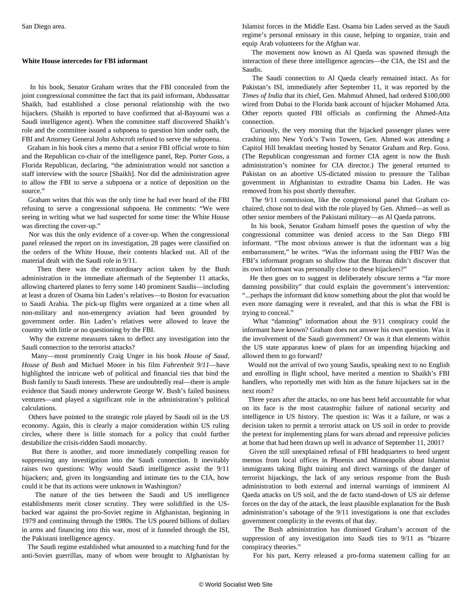## **White House intercedes for FBI informant**

 In his book, Senator Graham writes that the FBI concealed from the joint congressional committee the fact that its paid informant, Abdussattar Shaikh, had established a close personal relationship with the two hijackers. (Shaikh is reported to have confirmed that al-Bayoumi was a Saudi intelligence agent). When the committee staff discovered Shaikh's role and the committee issued a subpoena to question him under oath, the FBI and Attorney General John Ashcroft refused to serve the subpoena.

 Graham in his book cites a memo that a senior FBI official wrote to him and the Republican co-chair of the intelligence panel, Rep. Porter Goss, a Florida Republican, declaring, "the administration would not sanction a staff interview with the source [Shaikh]. Nor did the administration agree to allow the FBI to serve a subpoena or a notice of deposition on the source."

 Graham writes that this was the only time he had ever heard of the FBI refusing to serve a congressional subpoena. He comments: "We were seeing in writing what we had suspected for some time: the White House was directing the cover-up."

 Nor was this the only evidence of a cover-up. When the congressional panel released the report on its investigation, 28 pages were classified on the orders of the White House, their contents blacked out. All of the material dealt with the Saudi role in 9/11.

 Then there was the extraordinary action taken by the Bush administration in the immediate aftermath of the September 11 attacks, allowing chartered planes to ferry some 140 prominent Saudis—including at least a dozen of Osama bin Laden's relatives—to Boston for evacuation to Saudi Arabia. The pick-up flights were organized at a time when all non-military and non-emergency aviation had been grounded by government order. Bin Laden's relatives were allowed to leave the country with little or no questioning by the FBI.

 Why the extreme measures taken to deflect any investigation into the Saudi connection to the terrorist attacks?

 Many—most prominently Craig Unger in his book *House of Saud, House of Bush* and Michael Moore in his film *Fahrenheit 9/11*—have highlighted the intricate web of political and financial ties that bind the Bush family to Saudi interests. These are undoubtedly real—there is ample evidence that Saudi money underwrote George W. Bush's failed business ventures—and played a significant role in the administration's political calculations.

 Others have pointed to the strategic role played by Saudi oil in the US economy. Again, this is clearly a major consideration within US ruling circles, where there is little stomach for a policy that could further destabilize the crisis-ridden Saudi monarchy.

 But there is another, and more immediately compelling reason for suppressing any investigation into the Saudi connection. It inevitably raises two questions: Why would Saudi intelligence assist the 9/11 hijackers; and, given its longstanding and intimate ties to the CIA, how could it be that its actions were unknown in Washington?

 The nature of the ties between the Saudi and US intelligence establishments merit closer scrutiny. They were solidified in the USbacked war against the pro-Soviet regime in Afghanistan, beginning in 1979 and continuing through the 1980s. The US poured billions of dollars in arms and financing into this war, most of it funneled through the ISI, the Pakistani intelligence agency.

 The Saudi regime established what amounted to a matching fund for the anti-Soviet guerrillas, many of whom were brought to Afghanistan by

Islamist forces in the Middle East. Osama bin Laden served as the Saudi regime's personal emissary in this cause, helping to organize, train and equip Arab volunteers for the Afghan war.

 The movement now known as Al Qaeda was spawned through the interaction of these three intelligence agencies—the CIA, the ISI and the Saudis.

 The Saudi connection to Al Qaeda clearly remained intact. As for Pakistan's ISI, immediately after September 11, it was reported by the *Times of India* that its chief, Gen. Mahmud Ahmed, had ordered \$100,000 wired from Dubai to the Florida bank account of hijacker Mohamed Atta. Other reports quoted FBI officials as confirming the Ahmed-Atta connection.

 Curiously, the very morning that the hijacked passenger planes were crashing into New York's Twin Towers, Gen. Ahmed was attending a Capitol Hill breakfast meeting hosted by Senator Graham and Rep. Goss. (The Republican congressman and former CIA agent is now the Bush administration's nominee for CIA director.) The general returned to Pakistan on an abortive US-dictated mission to pressure the Taliban government in Afghanistan to extradite Osama bin Laden. He was removed from his post shortly thereafter.

 The 9/11 commission, like the congressional panel that Graham cochaired, chose not to deal with the role played by Gen. Ahmed—as well as other senior members of the Pakistani military—as Al Qaeda patrons.

 In his book, Senator Graham himself poses the question of why the congressional committee was denied access to the San Diego FBI informant. "The most obvious answer is that the informant was a big embarrassment," he writes. "Was the informant using the FBI? Was the FBI's informant program so shallow that the Bureau didn't discover that its own informant was personally close to these hijackers?"

 He then goes on to suggest in deliberately obscure terms a "far more damning possibility" that could explain the government's intervention: "...perhaps the informant did know something about the plot that would be even more damaging were it revealed, and that this is what the FBI is trying to conceal."

 What "damning" information about the 9/11 conspiracy could the informant have known? Graham does not answer his own question. Was it the involvement of the Saudi government? Or was it that elements within the US state apparatus knew of plans for an impending hijacking and allowed them to go forward?

 Would not the arrival of two young Saudis, speaking next to no English and enrolling in flight school, have merited a mention to Shaikh's FBI handlers, who reportedly met with him as the future hijackers sat in the next room?

 Three years after the attacks, no one has been held accountable for what on its face is the most catastrophic failure of national security and intelligence in US history. The question is: Was it a failure, or was a decision taken to permit a terrorist attack on US soil in order to provide the pretext for implementing plans for wars abroad and repressive policies at home that had been drawn up well in advance of September 11, 2001?

 Given the still unexplained refusal of FBI headquarters to heed urgent memos from local offices in Phoenix and Minneapolis about Islamist immigrants taking flight training and direct warnings of the danger of terrorist hijackings, the lack of any serious response from the Bush administration to both external and internal warnings of imminent Al Qaeda attacks on US soil, and the de facto stand-down of US air defense forces on the day of the attack, the least plausible explanation for the Bush administration's sabotage of the 9/11 investigations is one that excludes government complicity in the events of that day.

 The Bush administration has dismissed Graham's account of the suppression of any investigation into Saudi ties to 9/11 as "bizarre conspiracy theories."

For his part, Kerry released a pro-forma statement calling for an